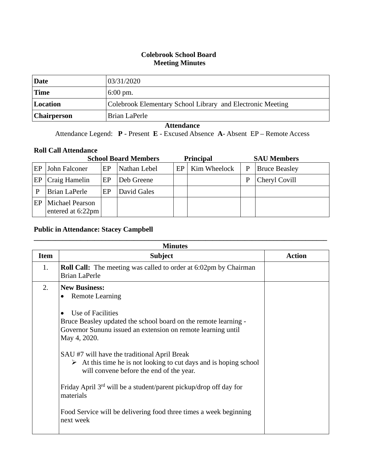## **Colebrook School Board Meeting Minutes**

| Date               | 03/31/2020                                                 |
|--------------------|------------------------------------------------------------|
| <b>Time</b>        | $6:00 \text{ pm}$ .                                        |
| Location           | Colebrook Elementary School Library and Electronic Meeting |
| <b>Chairperson</b> | Brian LaPerle                                              |

## **Attendance**

Attendance Legend: **P** - Present **E** - Excused Absence **A**- Absent EP – Remote Access

## **Roll Call Attendance**

| <b>School Board Members</b> |                                             |    |              | <b>Principal</b> |              | <b>SAU Members</b> |                      |
|-----------------------------|---------------------------------------------|----|--------------|------------------|--------------|--------------------|----------------------|
| EP                          | John Falconer                               | EP | Nathan Lebel | EP               | Kim Wheelock | P                  | <b>Bruce Beasley</b> |
| EP                          | Craig Hamelin                               | EP | Deb Greene   |                  |              | P                  | Cheryl Covill        |
|                             | Brian LaPerle                               | EP | David Gales  |                  |              |                    |                      |
| EP                          | <b>Michael Pearson</b><br>entered at 6:22pm |    |              |                  |              |                    |                      |

## **Public in Attendance: Stacey Campbell**

|             | <b>Minutes</b>                                                                                                                                                               |               |
|-------------|------------------------------------------------------------------------------------------------------------------------------------------------------------------------------|---------------|
| <b>Item</b> | <b>Subject</b>                                                                                                                                                               | <b>Action</b> |
| 1.          | <b>Roll Call:</b> The meeting was called to order at 6:02pm by Chairman<br><b>Brian LaPerle</b>                                                                              |               |
| 2.          | <b>New Business:</b><br><b>Remote Learning</b><br>$\bullet$                                                                                                                  |               |
|             | Use of Facilities<br>Bruce Beasley updated the school board on the remote learning -<br>Governor Sununu issued an extension on remote learning until<br>May 4, 2020.         |               |
|             | SAU #7 will have the traditional April Break<br>$\triangleright$ At this time he is not looking to cut days and is hoping school<br>will convene before the end of the year. |               |
|             | Friday April 3 <sup>rd</sup> will be a student/parent pickup/drop off day for<br>materials                                                                                   |               |
|             | Food Service will be delivering food three times a week beginning<br>next week                                                                                               |               |